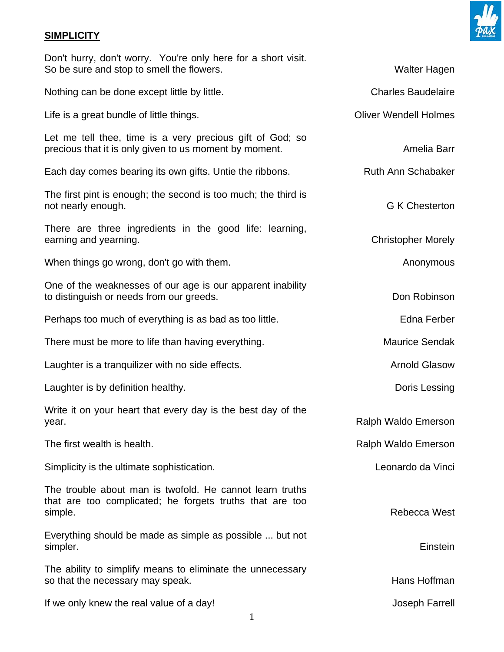## **SIMPLICITY**



| Don't hurry, don't worry. You're only here for a short visit.<br>So be sure and stop to smell the flowers.                      | <b>Walter Hagen</b>          |
|---------------------------------------------------------------------------------------------------------------------------------|------------------------------|
| Nothing can be done except little by little.                                                                                    | <b>Charles Baudelaire</b>    |
| Life is a great bundle of little things.                                                                                        | <b>Oliver Wendell Holmes</b> |
| Let me tell thee, time is a very precious gift of God; so<br>precious that it is only given to us moment by moment.             | Amelia Barr                  |
| Each day comes bearing its own gifts. Untie the ribbons.                                                                        | Ruth Ann Schabaker           |
| The first pint is enough; the second is too much; the third is<br>not nearly enough.                                            | <b>G K Chesterton</b>        |
| There are three ingredients in the good life: learning,<br>earning and yearning.                                                | <b>Christopher Morely</b>    |
| When things go wrong, don't go with them.                                                                                       | Anonymous                    |
| One of the weaknesses of our age is our apparent inability<br>to distinguish or needs from our greeds.                          | Don Robinson                 |
| Perhaps too much of everything is as bad as too little.                                                                         | Edna Ferber                  |
| There must be more to life than having everything.                                                                              | <b>Maurice Sendak</b>        |
| Laughter is a tranquilizer with no side effects.                                                                                | <b>Arnold Glasow</b>         |
| Laughter is by definition healthy.                                                                                              | Doris Lessing                |
| Write it on your heart that every day is the best day of the<br>year.                                                           | Ralph Waldo Emerson          |
| The first wealth is health.                                                                                                     | Ralph Waldo Emerson          |
| Simplicity is the ultimate sophistication.                                                                                      | Leonardo da Vinci            |
| The trouble about man is twofold. He cannot learn truths<br>that are too complicated; he forgets truths that are too<br>simple. | Rebecca West                 |
| Everything should be made as simple as possible  but not<br>simpler.                                                            | Einstein                     |
| The ability to simplify means to eliminate the unnecessary<br>so that the necessary may speak.                                  | Hans Hoffman                 |
| If we only knew the real value of a day!                                                                                        | Joseph Farrell               |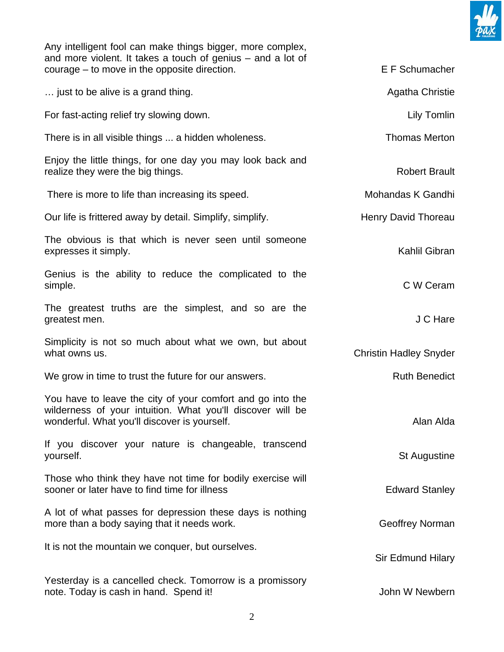

Any intelligent fool can make things bigger, more complex, and more violent. It takes a touch of genius – and a lot of courage – to move in the opposite direction. E F Schumacher

| just to be alive is a grand thing.                                                                                                                                       | <b>Agatha Christie</b>        |
|--------------------------------------------------------------------------------------------------------------------------------------------------------------------------|-------------------------------|
| For fast-acting relief try slowing down.                                                                                                                                 | Lily Tomlin                   |
| There is in all visible things  a hidden wholeness.                                                                                                                      | <b>Thomas Merton</b>          |
| Enjoy the little things, for one day you may look back and<br>realize they were the big things.                                                                          | <b>Robert Brault</b>          |
| There is more to life than increasing its speed.                                                                                                                         | Mohandas K Gandhi             |
| Our life is frittered away by detail. Simplify, simplify.                                                                                                                | Henry David Thoreau           |
| The obvious is that which is never seen until someone<br>expresses it simply.                                                                                            | Kahlil Gibran                 |
| Genius is the ability to reduce the complicated to the<br>simple.                                                                                                        | C W Ceram                     |
| The greatest truths are the simplest, and so are the<br>greatest men.                                                                                                    | J C Hare                      |
| Simplicity is not so much about what we own, but about<br>what owns us.                                                                                                  | <b>Christin Hadley Snyder</b> |
| We grow in time to trust the future for our answers.                                                                                                                     | <b>Ruth Benedict</b>          |
| You have to leave the city of your comfort and go into the<br>wilderness of your intuition. What you'll discover will be<br>wonderful. What you'll discover is yourself. | Alan Alda                     |
| If you discover your nature is changeable, transcend<br>yourself.                                                                                                        | St Augustine                  |
| Those who think they have not time for bodily exercise will<br>sooner or later have to find time for illness                                                             | <b>Edward Stanley</b>         |
| A lot of what passes for depression these days is nothing<br>more than a body saying that it needs work.                                                                 | Geoffrey Norman               |
| It is not the mountain we conquer, but ourselves.                                                                                                                        | Sir Edmund Hilary             |
| Yesterday is a cancelled check. Tomorrow is a promissory<br>note. Today is cash in hand. Spend it!                                                                       | John W Newbern                |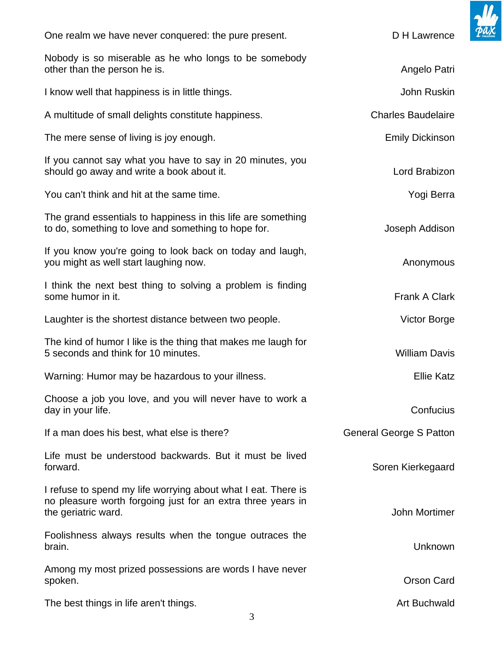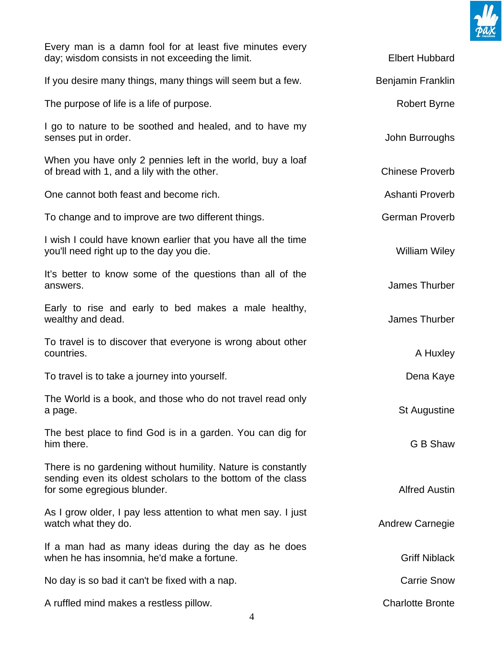

| Every man is a damn fool for at least five minutes every<br>day; wisdom consists in not exceeding the limit.                                               | <b>Elbert Hubbard</b>   |
|------------------------------------------------------------------------------------------------------------------------------------------------------------|-------------------------|
| If you desire many things, many things will seem but a few.                                                                                                | Benjamin Franklin       |
| The purpose of life is a life of purpose.                                                                                                                  | <b>Robert Byrne</b>     |
| I go to nature to be soothed and healed, and to have my<br>senses put in order.                                                                            | John Burroughs          |
| When you have only 2 pennies left in the world, buy a loaf<br>of bread with 1, and a lily with the other.                                                  | <b>Chinese Proverb</b>  |
| One cannot both feast and become rich.                                                                                                                     | Ashanti Proverb         |
| To change and to improve are two different things.                                                                                                         | German Proverb          |
| I wish I could have known earlier that you have all the time<br>you'll need right up to the day you die.                                                   | <b>William Wiley</b>    |
| It's better to know some of the questions than all of the<br>answers.                                                                                      | James Thurber           |
| Early to rise and early to bed makes a male healthy,<br>wealthy and dead.                                                                                  | James Thurber           |
| To travel is to discover that everyone is wrong about other<br>countries.                                                                                  | A Huxley                |
| To travel is to take a journey into yourself.                                                                                                              | Dena Kaye               |
| The World is a book, and those who do not travel read only<br>a page.                                                                                      | St Augustine            |
| The best place to find God is in a garden. You can dig for<br>him there.                                                                                   | G B Shaw                |
| There is no gardening without humility. Nature is constantly<br>sending even its oldest scholars to the bottom of the class<br>for some egregious blunder. | <b>Alfred Austin</b>    |
| As I grow older, I pay less attention to what men say. I just<br>watch what they do.                                                                       | <b>Andrew Carnegie</b>  |
| If a man had as many ideas during the day as he does<br>when he has insomnia, he'd make a fortune.                                                         | <b>Griff Niblack</b>    |
| No day is so bad it can't be fixed with a nap.                                                                                                             | <b>Carrie Snow</b>      |
| A ruffled mind makes a restless pillow.                                                                                                                    | <b>Charlotte Bronte</b> |